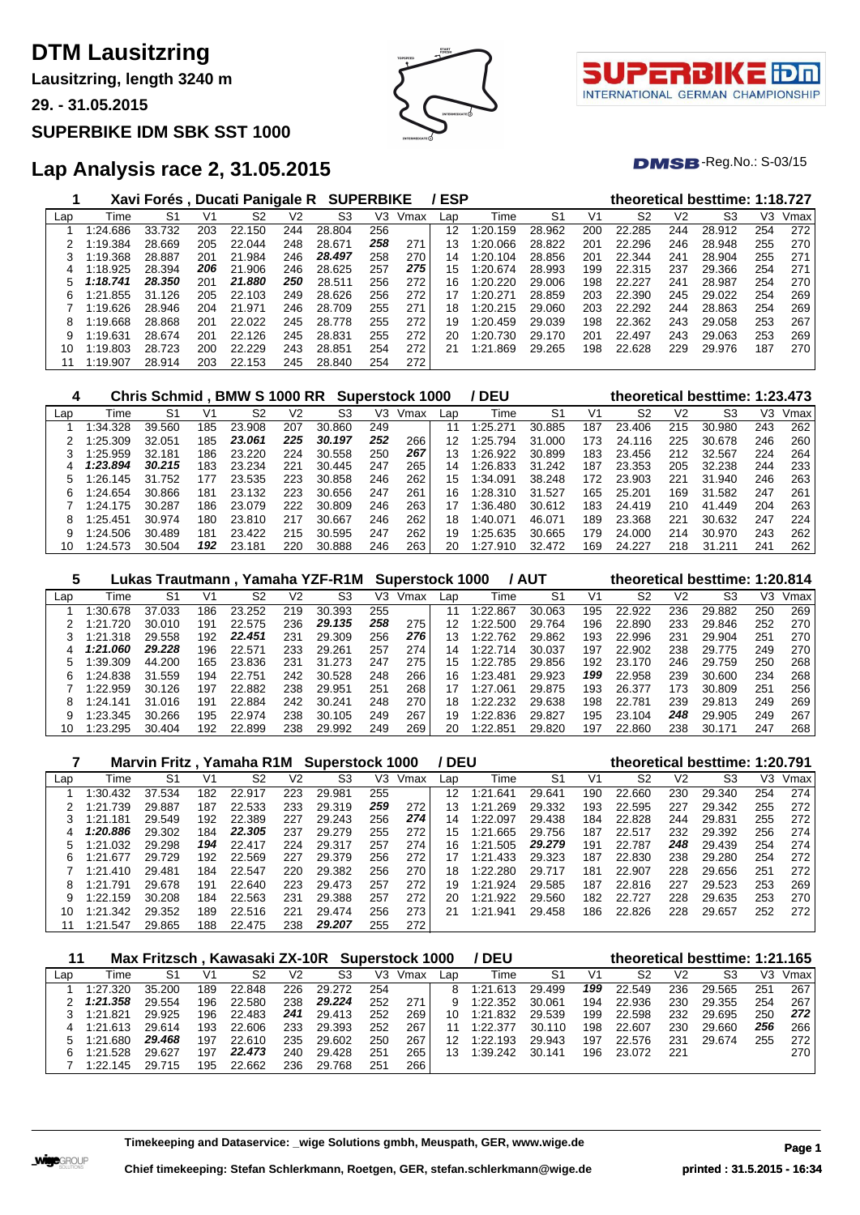**Lausitzring, length 3240 m**

**29. - 31.05.2015**

#### **SUPERBIKE IDM SBK SST 1000**

## **Lap Analysis race 2, 31.05.2015**

|     |          | Xavi Forés, Ducati Panigale R |     |        |     |        | <b>SUPERBIKE</b> |      | ESP |               |        |     |                |                | theoretical besttime: 1:18.727 |     |      |
|-----|----------|-------------------------------|-----|--------|-----|--------|------------------|------|-----|---------------|--------|-----|----------------|----------------|--------------------------------|-----|------|
| Lap | Time     | S <sub>1</sub>                | V1  | S2     | V2  | S3     | V3               | Vmax | Lap | Time          | S1     | V1  | S <sub>2</sub> | V <sub>2</sub> | S3                             | V3  | Vmax |
|     | 1:24.686 | 33.732                        | 203 | 22.150 | 244 | 28.804 | 256              |      | 12  | 1:20.<br>159  | 28.962 | 200 | 22.285         | 244            | 28.912                         | 254 | 272  |
|     | 1:19.384 | 28.669                        | 205 | 22.044 | 248 | 28.671 | 258              | 271  | 13  | 1:20.066      | 28.822 | 201 | 22.296         | 246            | 28.948                         | 255 | 270  |
|     | 1:19.368 | 28.887                        | 201 | 21.984 | 246 | 28.497 | 258              | 270  | 14  | 1:20.104      | 28.856 | 201 | 22.344         | 241            | 28.904                         | 255 | 271  |
| 4   | 1:18.925 | 28.394                        | 206 | 21.906 | 246 | 28.625 | 257              | 275  | 15  | 1:20.674      | 28.993 | 199 | 22.315         | 237            | 29.366                         | 254 | 271  |
| 5   | 1:18.741 | 28.350                        | 201 | 21.880 | 250 | 28.511 | 256              | 272  | 16  | 1:20.220      | 29.006 | 198 | 22.227         | 241            | 28.987                         | 254 | 270  |
| 6   | 1:21.855 | 31.126                        | 205 | 22.103 | 249 | 28.626 | 256              | 272  | 17  | 1:20.271      | 28.859 | 203 | 22,390         | 245            | 29.022                         | 254 | 269  |
|     | 1:19.626 | 28.946                        | 204 | 21.971 | 246 | 28.709 | 255              | 271  | 18  | 1:20.215      | 29.060 | 203 | 22.292         | 244            | 28.863                         | 254 | 269  |
| 8   | 1:19.668 | 28.868                        | 201 | 22.022 | 245 | 28.778 | 255              | 272  | 19  | 1:20.459      | 29.039 | 198 | 22.362         | 243            | 29.058                         | 253 | 267  |
| 9   | 1:19.631 | 28.674                        | 201 | 22.126 | 245 | 28.831 | 255              | 272  | 20  | 1:20.<br>.730 | 29.170 | 201 | 22.497         | 243            | 29.063                         | 253 | 269  |
| 10  | 1:19.803 | 28.723                        | 200 | 22.229 | 243 | 28.851 | 254              | 272  | 21  | 1:21<br>.869  | 29.265 | 198 | 22.628         | 229            | 29.976                         | 187 | 270  |
|     | 1:19.907 | 28.914                        | 203 | 22.153 | 245 | 28.840 | 254              | 272  |     |               |        |     |                |                |                                |     |      |

| 4   |               | Chris Schmid . BMW S 1000 RR |     |        |     |             |     | Superstock 1000 |     | ' DEU    |        |     |        |     | theoretical besttime: 1:23.473 |     |      |
|-----|---------------|------------------------------|-----|--------|-----|-------------|-----|-----------------|-----|----------|--------|-----|--------|-----|--------------------------------|-----|------|
| Lap | Time          | S1                           | V1  | S2     | V2  | S3          | V3  | Vmax            | Lap | Time     | S1     | V1  | S2     | V2  | S3                             | V3  | Vmax |
|     | 1:34.328      | 39.560                       | 185 | 23.908 | 207 | 30.<br>.860 | 249 |                 | 11  | 1:25.271 | 30.885 | 187 | 23.406 | 215 | 30.980                         | 243 | 262  |
|     | $-25.309$     | 32.051                       | 185 | 23.061 | 225 | 30.197      | 252 | 266             | 12  | 1:25.794 | 31.000 | 173 | 24.116 | 225 | 30.678                         | 246 | 260  |
|     | 1:25.959      | 32.181                       | 186 | 23.220 | 224 | 30.558      | 250 | 267             | 13  | 1:26.922 | 30.899 | 183 | 23.456 | 212 | 32.567                         | 224 | 264  |
|     | 1:23.894      | 30.215                       | 183 | 23.234 | 221 | 30.445      | 247 | 265             | 14  | 1:26.833 | 31.242 | 187 | 23.353 | 205 | 32.238                         | 244 | 233  |
|     | ' 26.<br>.145 | 31.752                       | 177 | 23.535 | 223 | .858<br>30. | 246 | 262             | 15  | l:34.091 | 38.248 | 172 | 23.903 | 221 | 31.940                         | 246 | 263  |
| 6   | $-24.654$     | 30.866                       | 181 | 23.132 | 223 | 30.656      | 247 | 261             | 16  | 1:28.310 | 31.527 | 165 | 25.201 | 169 | 31.582                         | 247 | 261  |
|     | 1:24.175      | 30.287                       | 186 | 23.079 | 222 | 30.809      | 246 | 263             | 17  | 1:36.480 | 30.612 | 183 | 24.419 | 210 | 41.449                         | 204 | 263  |
| 8   | 1:25.451      | 30.974                       | 180 | 23.810 | 217 | 30.667      | 246 | 262             | 18  | 1:40.071 | 46.071 | 189 | 23.368 | 221 | 30.632                         | 247 | 224  |
| 9   | 1:24.506      | 30.489                       | 181 | 23.422 | 215 | 30.595      | 247 | 262             | 19  | 1:25.635 | 30.665 | 179 | 24,000 | 214 | 30.970                         | 243 | 262  |
| 10  | 1:24.573      | 30.504                       | 192 | 23.181 | 220 | 30.888      | 246 | 263             | 20  | 1:27.910 | 32.472 | 169 | 24.227 | 218 | 31.21'                         | 241 | 262  |

|     |               |        |     |        |     | Lukas Trautmann, Yamaha YZF-R1M Superstock 1000 |     |      |     |               | / AUT          |     |        |     | theoretical besttime: 1:20.814 |     |      |
|-----|---------------|--------|-----|--------|-----|-------------------------------------------------|-----|------|-----|---------------|----------------|-----|--------|-----|--------------------------------|-----|------|
| Lap | Time          | S1     | V1  | S2     | V2  | S3                                              | VЗ  | Vmax | Lap | Гіmе          | S <sub>1</sub> | V1  | S2     | V2  | S3                             | VЗ  | Vmax |
|     | 1:30.678      | 37.033 | 186 | 23.252 | 219 | 30.393                                          | 255 |      | 11  | 1:22<br>.867  | 30.063         | 195 | 22.922 | 236 | 29.882                         | 250 | 269  |
|     | .720<br>1:21. | 30.010 | 191 | 22.575 | 236 | 29.135                                          | 258 | 275  | 12  | 1:22.500      | 29.764         | 196 | 22.890 | 233 | 29.846                         | 252 | 270  |
|     | 1:21.318      | 29.558 | 192 | 22.451 | 231 | 29.309                                          | 256 | 276  | 13  | 1:22.762      | 29.862         | 193 | 22.996 | 231 | 29.904                         | 251 | 270  |
| 4   | 1:21.060      | 29.228 | 196 | 22.571 | 233 | 29.261                                          | 257 | 274  | 14  | 1:22.714      | 30.037         | 197 | 22.902 | 238 | 29.775                         | 249 | 270  |
| 5   | 1:39.309      | 44.200 | 165 | 23.836 | 231 | 31.273                                          | 247 | 275  | 15  | 1:22.785      | 29.856         | 192 | 23.170 | 246 | 29.759                         | 250 | 268  |
| 6   | 1:24.838      | 31.559 | 194 | 22.751 | 242 | 30.528                                          | 248 | 266  | 16  | 1:23.481      | 29.923         | 199 | 22.958 | 239 | 30.600                         | 234 | 268  |
|     | :22.959       | 30.126 | 197 | 22.882 | 238 | 29.951                                          | 251 | 268  | 17  | ∣:27<br>1.06∶ | 29.875         | 193 | 26.377 | 173 | 30.809                         | 251 | 256  |
| 8   | 1:24.141      | 31.016 | 191 | 22.884 | 242 | 30.241                                          | 248 | 270  | 18  | 1:22.232      | 29.638         | 198 | 22.781 | 239 | 29.813                         | 249 | 269  |
| 9   | 1:23.345      | 30.266 | 195 | 22.974 | 238 | 30.105                                          | 249 | 267  | 19  | 1:22.836      | 29.827         | 195 | 23.104 | 248 | 29.905                         | 249 | 267  |
| 10  | :23.295       | 30.404 | 192 | 22.899 | 238 | 29.992                                          | 249 | 269  | 20  | 1:22.851      | 29.820         | 197 | 22.860 | 238 | 30.171                         | 247 | 268  |

|     |               | Marvin Fritz, Yamaha R1M Superstock 1000 |     |        |                |        |     |      | / DEU |              |                |                |        |     | theoretical besttime: 1:20.791 |     |      |
|-----|---------------|------------------------------------------|-----|--------|----------------|--------|-----|------|-------|--------------|----------------|----------------|--------|-----|--------------------------------|-----|------|
| Lap | Time          | S1                                       | V1  | S2     | V <sub>2</sub> | S3     | V3  | Vmax | Lap   | Time         | S <sub>1</sub> | V <sub>1</sub> | S2     | V2  | S3                             | V3  | Vmax |
|     | 1:30.432      | 37.534                                   | 182 | 22.917 | 223            | 29.981 | 255 |      | 12    | 1:21<br>.641 | 29.641         | 190            | 22.660 | 230 | 29.340                         | 254 | 274  |
|     | 1:21.739      | 29.887                                   | 187 | 22.533 | 233            | 29.319 | 259 | 272  | 13    | 1:21.269     | 29.332         | 193            | 22.595 | 227 | 29.342                         | 255 | 272  |
|     | 1:21.181      | 29.549                                   | 192 | 22.389 | 227            | 29.243 | 256 | 274  | 14    | 1:22.097     | 29.438         | 184            | 22.828 | 244 | 29.831                         | 255 | 272  |
| 4   | 1:20.886      | 29.302                                   | 184 | 22.305 | 237            | 29.279 | 255 | 272  | 15    | .665<br>1:21 | 29.756         | 187            | 22.517 | 232 | 29.392                         | 256 | 274  |
|     | 1:21.032      | 29.298                                   | 194 | 22.417 | 224            | 29.317 | 257 | 274  | 16    | 1:21.505     | 29.279         | 191            | 22.787 | 248 | 29.439                         | 254 | 274  |
| 6   | 1:21.677      | 29.729                                   | 192 | 22.569 | 227            | 29.379 | 256 | 272  | 17    | 1:21.433     | 29.323         | 187            | 22.830 | 238 | 29.280                         | 254 | 272  |
|     | 1:21.410      | 29.481                                   | 184 | 22.547 | 220            | 29.382 | 256 | 270  | 18    | 1:22.280     | 29.717         | 181            | 22,907 | 228 | 29.656                         | 251 | 272  |
| 8   | .791<br>1:21. | 29.678                                   | 191 | 22.640 | 223            | 29.473 | 257 | 272  | 19    | .924<br>1:21 | 29.585         | 187            | 22.816 | 227 | 29.523                         | 253 | 269  |
| 9   | 1:22.159      | 30.208                                   | 184 | 22.563 | 231            | 29.388 | 257 | 272  | 20    | 1:21<br>.922 | 29.560         | 182            | 22.727 | 228 | 29.635                         | 253 | 270  |
| 10  | 1:21.342      | 29.352                                   | 189 | 22.516 | 221            | 29.474 | 256 | 273  | 21    | 1:21<br>.941 | 29.458         | 186            | 22.826 | 228 | 29.657                         | 252 | 272  |
| 11  | 1:21.547      | 29.865                                   | 188 | 22.475 | 238            | 29.207 | 255 | 272  |       |              |                |                |        |     |                                |     |      |

|     |          | Max Fritzsch, Kawasaki ZX-10R Superstock 1000 |     |        |     |        |     |      |     | <b>DEU</b> |                |     |        |     | theoretical besttime: 1:21.165 |     |      |
|-----|----------|-----------------------------------------------|-----|--------|-----|--------|-----|------|-----|------------|----------------|-----|--------|-----|--------------------------------|-----|------|
| Lap | Time     | S <sup>1</sup>                                | V1  | S2     | V2  | S3     | V3  | Vmax | Lap | Гіmе       | S <sup>1</sup> | V٠  | S2     | V2  | S3                             | VЗ  | Vmax |
|     | 1:27.320 | 35.200                                        | 189 | 22.848 | 226 | 29.272 | 254 |      | 8   | 1:21.613   | 29.499         | 199 | 22.549 | 236 | 29.565                         | 251 | 267  |
|     | 1:21.358 | 29.554                                        | 196 | 22.580 | 238 | 29.224 | 252 | 271  |     | 1:22.352   | 30.061         | 194 | 22.936 | 230 | 29.355                         | 254 | 267  |
|     | 1:21.821 | 29.925                                        | 196 | 22.483 | 241 | 29.413 | 252 | 269  | 10  | 1:21.832   | 29.539         | 199 | 22.598 | 232 | 29.695                         | 250 | 272  |
|     | 1:21.613 | 29.614                                        | 193 | 22.606 | 233 | 29.393 | 252 | 267  |     | 1:22.377   | 30.110         | 198 | 22.607 | 230 | 29.660                         | 256 | 266  |
|     | 1:21.680 | 29,468                                        | 197 | 22.610 | 235 | 29.602 | 250 | 267  | 12  | 1:22.193   | 29.943         | 197 | 22.576 | 231 | 29.674                         | 255 | 272  |
|     | 1:21.528 | 29.627                                        | 197 | 22.473 | 240 | 29.428 | 251 | 265  | 13  | 1:39.242   | 30.141         | 196 | 23.072 | 221 |                                |     | 270  |
|     | 1:22.145 | 29.715                                        | 195 | 22.662 | 236 | 29.768 | 251 | 266  |     |            |                |     |        |     |                                |     |      |

**Timekeeping and Dataservice: \_wige Solutions gmbh, Meuspath, GER, www.wige.de Page 1**

ПI INTERNATIONAL GERMAN CHAMPIONSHIP

 $DMSB$ -Reg.No.:  $S-03/15$ 

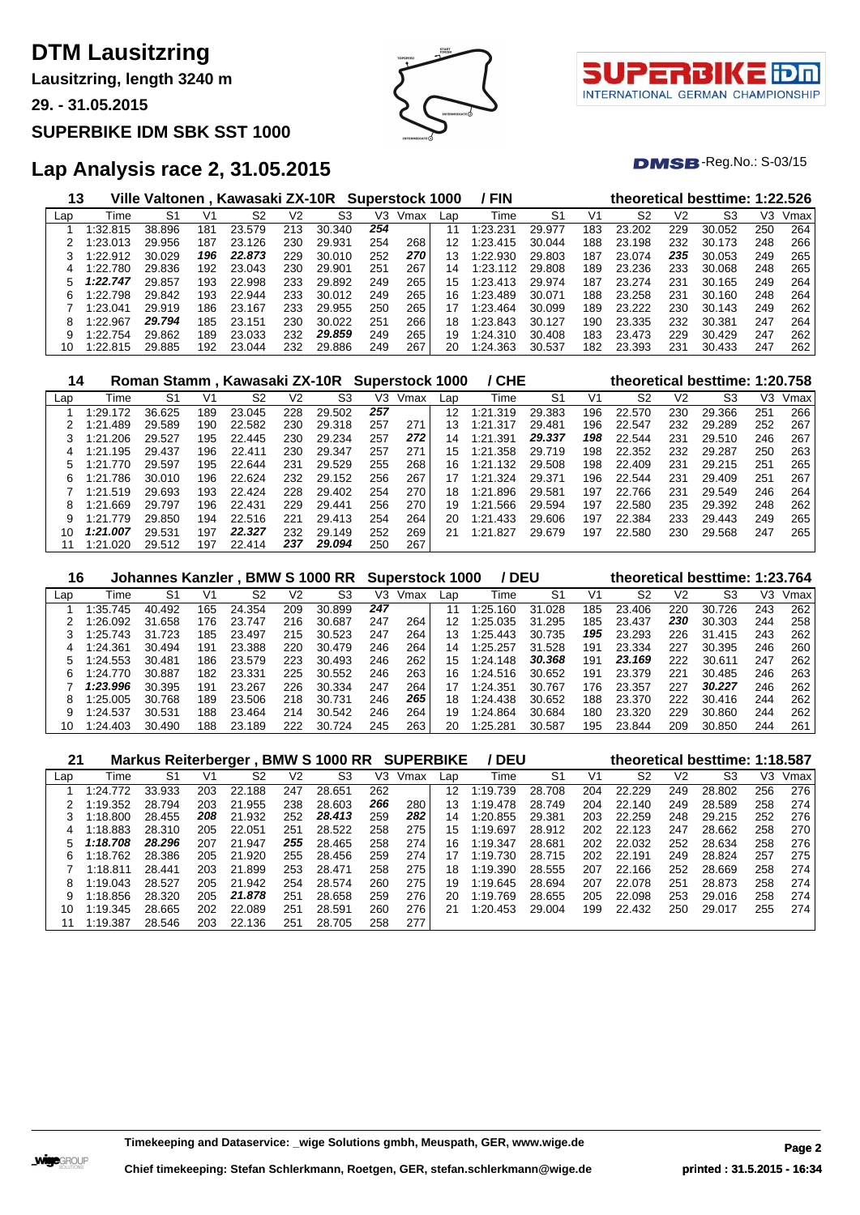**Lausitzring, length 3240 m**

**29. - 31.05.2015**

#### **SUPERBIKE IDM SBK SST 1000**





 $DMSB$ -Reg.No.:  $S-03/15$ 

| 13  |          |        |     | Ville Valtonen, Kawasaki ZX-10R Superstock 1000 |     |             |     |      |     | / FIN       |        |     |        |     | theoretical besttime: 1:22.526 |     |      |
|-----|----------|--------|-----|-------------------------------------------------|-----|-------------|-----|------|-----|-------------|--------|-----|--------|-----|--------------------------------|-----|------|
| Lap | Time     | S1     | V1  | S2                                              | V2  | S3          | V3  | Vmax | Lap | Time        | S1     | V1  | S2     | V2  | S3                             | V3  | Vmax |
|     | 1:32.815 | 38.896 | 181 | 23.579                                          | 213 | 30.<br>.340 | 254 |      |     | ⊟23<br>.231 | 29.977 | 183 | 23.202 | 229 | 30.052                         | 250 | 264  |
|     | 1:23.013 | 29.956 | 187 | 23.126                                          | 230 | 29.931      | 254 | 268  | 12  | 1:23.415    | 30.044 | 188 | 23.198 | 232 | 30.173                         | 248 | 266  |
|     | 1:22.912 | 30.029 | 196 | 22.873                                          | 229 | 30.010      | 252 | 270  | 13  | 1:22.930    | 29.803 | 187 | 23.074 | 235 | 30.053                         | 249 | 265  |
| 4   | 1:22.780 | 29.836 | 192 | 23.043                                          | 230 | 29.901      | 251 | 267  | 14  | 1:23.112    | 29.808 | 189 | 23.236 | 233 | 30.068                         | 248 | 265  |
| 5   | 1:22.747 | 29.857 | 193 | 22.998                                          | 233 | 29.892      | 249 | 265  | 15  | 1:23.413    | 29.974 | 187 | 23.274 | 231 | 30.165                         | 249 | 264  |
| 6   | 1:22.798 | 29.842 | 193 | 22.944                                          | 233 | 30.012      | 249 | 265  | 16  | 1:23.489    | 30.071 | 188 | 23.258 | 231 | 30.160                         | 248 | 264  |
|     | 1:23.041 | 29.919 | 186 | 23.167                                          | 233 | 29.955      | 250 | 265  |     | 1:23.464    | 30.099 | 189 | 23.222 | 230 | 30.143                         | 249 | 262  |
| 8   | 1:22.967 | 29.794 | 185 | 23.151                                          | 230 | 30.022      | 251 | 266  | 18  | 1:23.843    | 30.127 | 190 | 23.335 | 232 | 30.381                         | 247 | 264  |
|     | 1:22.754 | 29.862 | 189 | 23.033                                          | 232 | 29.859      | 249 | 265  | 19  | 1:24.310    | 30.408 | 183 | 23.473 | 229 | 30.429                         | 247 | 262  |
| 10  | 1:22.815 | 29.885 | 192 | 23.0<br>044                                     | 232 | 29.886      | 249 | 267  | 20  | 1:24.363    | 30.537 | 182 | 23.393 | 231 | 30.433                         | 247 | 262  |

| 14  |              |        |     | Roman Stamm, Kawasaki ZX-10R Superstock 1000 |                |                |     |      |     | / CHE              |                |     |        |     | theoretical besttime: 1:20.758 |     |      |
|-----|--------------|--------|-----|----------------------------------------------|----------------|----------------|-----|------|-----|--------------------|----------------|-----|--------|-----|--------------------------------|-----|------|
| Lap | Time         | S1     | V1  | S2                                           | V <sub>2</sub> | S <sub>3</sub> | V3  | Vmax | Lap | Time               | S <sub>1</sub> | V1  | S2     | V2  | S3                             | VЗ  | Vmax |
|     | 1:29.172     | 36.625 | 189 | 23.045                                       | 228            | 29.502         | 257 |      | 12  | .319<br>l:21       | 29.383         | 196 | 22.570 | 230 | 29.366                         | 251 | 266  |
|     | .489<br>1:21 | 29.589 | 190 | 22.582                                       | 230            | 29.318         | 257 | 271  | 13  | l:21<br>.317       | 29.481         | 196 | 22.547 | 232 | 29.289                         | 252 | 267  |
|     | 1:21.206     | 29.527 | 195 | 22.445                                       | 230            | 29.234         | 257 | 272  | 14  | 1:21.391           | 29.337         | 198 | 22.544 | 231 | 29.510                         | 246 | 267  |
| 4   | 1:21.195     | 29.437 | 196 | 22.411                                       | 230            | 29.347         | 257 | 271  | 15  | 1:21.358           | 29.719         | 198 | 22.352 | 232 | 29.287                         | 250 | 263  |
|     | .770<br>1:21 | 29.597 | 195 | 22.644                                       | 231            | 29.529         | 255 | 268  | 16  | 1:21<br>.132       | 29.508         | 198 | 22.409 | 231 | 29.215                         | 251 | 265  |
| 6.  | 1:21.786     | 30.010 | 196 | 22.624                                       | 232            | 29.152         | 256 | 267  | 17  | 1:21<br>.324       | 29.371         | 196 | 22.544 | 231 | 29.409                         | 251 | 267  |
|     | 1:21.519     | 29.693 | 193 | 22.424                                       | 228            | 29.402         | 254 | 270  | 18  | 1:21<br>.896       | 29.581         | 197 | 22.766 | 231 | 29.549                         | 246 | 264  |
| 8   | 1:21.669     | 29.797 | 196 | 22.431                                       | 229            | 29.441         | 256 | 270  | 19  | 1:21.566           | 29.594         | 197 | 22.580 | 235 | 29.392                         | 248 | 262  |
| 9   | 1:21.779     | 29.850 | 194 | 22.516                                       | 221            | 29.413         | 254 | 264  | 20  | 1:21<br>.433       | 29.606         | 197 | 22.384 | 233 | 29.443                         | 249 | 265  |
| 10  | 1:21.007     | 29.531 | 197 | 22.327                                       | 232            | 29.149         | 252 | 269  | 21  | $\cdot 21$<br>.827 | 29.679         | 197 | 22.580 | 230 | 29.568                         | 247 | 265  |
|     | 1:21.020     | 29.512 | 197 | 22.414                                       | 237            | 29.094         | 250 | 267  |     |                    |                |     |        |     |                                |     |      |

| 16  |          |        |     |        |     | Johannes Kanzler, BMW S 1000 RR |     | <b>Superstock 1000</b> |     | / DEU    |            |     |        |     | theoretical besttime: 1:23.764 |     |      |
|-----|----------|--------|-----|--------|-----|---------------------------------|-----|------------------------|-----|----------|------------|-----|--------|-----|--------------------------------|-----|------|
| Lap | Time     | S1     | V1  | S2     | V2  | S3                              | V3  | Vmax                   | Lap | Time     | S1         | V1  | S2     | V2  | S3                             | VЗ  | Vmax |
|     | 1:35.745 | 40.492 | 165 | 24.354 | 209 | 30.899                          | 247 |                        |     | 1:25.160 | .028<br>31 | 185 | 23.406 | 220 | 30.726                         | 243 | 262  |
|     | 1:26.092 | 31.658 | 176 | 23.747 | 216 | 30.687                          | 247 | 264                    | 12  | 1:25.035 | 31.295     | 185 | 23.437 | 230 | 30.303                         | 244 | 258  |
|     | 1:25.743 | 31.723 | 185 | 23.497 | 215 | 30.523                          | 247 | 264                    | 13  | 1:25.443 | 30.735     | 195 | 23.293 | 226 | 31.415                         | 243 | 262  |
|     | 1:24.361 | 30.494 | 191 | 23.388 | 220 | 30.479                          | 246 | 264                    | 14  | 1:25.257 | 31.528     | 191 | 23.334 | 227 | 30.395                         | 246 | 260  |
|     | 1:24.553 | 30.481 | 186 | 23.579 | 223 | 30.493                          | 246 | 262                    | 15  | 1:24.148 | 30.368     | 191 | 23.169 | 222 | 30.611                         | 247 | 262  |
|     | 1:24.770 | 30.887 | 182 | 23.331 | 225 | 30.552                          | 246 | 263                    | 16  | 1:24.516 | 30.652     | 191 | 23.379 | 221 | 30.485                         | 246 | 263  |
|     | 1:23.996 | 30.395 | 191 | 23.267 | 226 | 30.334                          | 247 | 264                    | 17  | 1:24.351 | 30.767     | 176 | 23.357 | 227 | 30.227                         | 246 | 262  |
| 8   | 1:25.005 | 30.768 | 189 | 23.506 | 218 | 30.731                          | 246 | 265                    | 18  | 1:24.438 | 30.652     | 188 | 23.370 | 222 | 30.416                         | 244 | 262  |
| 9   | 1:24.537 | 30.531 | 188 | 23.464 | 214 | 30.542                          | 246 | 264                    | 19  | 1:24.864 | 30.684     | 180 | 23.320 | 229 | 30.860                         | 244 | 262  |
| 10  | 1:24.403 | 30.490 | 188 | 23.189 | 222 | 30.724                          | 245 | 263                    | 20  | 1:25.281 | 30.587     | 195 | 23.844 | 209 | 30.850                         | 244 | 261  |

| 21  |          | Markus Reiterberger, |     |        |     | <b>BMW S 1000 RR SUPERBIKE</b> |     |      |     | / DEU    |                |     |                |     | theoretical besttime: 1:18.587 |     |      |
|-----|----------|----------------------|-----|--------|-----|--------------------------------|-----|------|-----|----------|----------------|-----|----------------|-----|--------------------------------|-----|------|
| Lap | Time     | S1                   | V1  | S2     | V2  | S3                             | V3  | Vmax | Lap | Time     | S <sub>1</sub> | V1  | S <sub>2</sub> | V2  | S3                             | V3  | Vmax |
|     | 1:24.772 | 33.933               | 203 | 22.188 | 247 | 28.651                         | 262 |      | 12  | 1:19.739 | 28.708         | 204 | 22.229         | 249 | 28.802                         | 256 | 276  |
|     | 1:19.352 | 28.794               | 203 | 21.955 | 238 | 28.603                         | 266 | 280  | 13  | 1:19.478 | 28.749         | 204 | 22.140         | 249 | 28.589                         | 258 | 274  |
|     | 1:18.800 | 28.455               | 208 | 21.932 | 252 | 28.413                         | 259 | 282  | 14  | 1:20.855 | 29.381         | 203 | 22.259         | 248 | 29.215                         | 252 | 276  |
| 4   | 1:18.883 | 28.310               | 205 | 22.051 | 251 | 28.522                         | 258 | 275  | 15  | 1:19.697 | 28.912         | 202 | 22.123         | 247 | 28.662                         | 258 | 270  |
| 5.  | 1:18.708 | 28.296               | 207 | 21.947 | 255 | 28.465                         | 258 | 274  | 16  | 1:19.347 | 28.681         | 202 | 22.032         | 252 | 28.634                         | 258 | 276  |
| 6   | 1:18.762 | 28.386               | 205 | 21.920 | 255 | 28.456                         | 259 | 274  | 17  | 1:19.730 | 28.715         | 202 | 22.191         | 249 | 28.824                         | 257 | 275  |
|     | 1:18.811 | 28.441               | 203 | 21.899 | 253 | 28.471                         | 258 | 275  | 18  | 1:19.390 | 28.555         | 207 | 22.166         | 252 | 28.669                         | 258 | 274  |
| 8   | 1:19.043 | 28.527               | 205 | 21.942 | 254 | 28.574                         | 260 | 275  | 19  | 1:19.645 | 28.694         | 207 | 22.078         | 251 | 28.873                         | 258 | 274  |
|     | 1:18.856 | 28.320               | 205 | 21.878 | 251 | 28.658                         | 259 | 276  | 20  | 1:19.769 | 28.655         | 205 | 22.098         | 253 | 29.016                         | 258 | 274  |
| 10  | 1:19.345 | 28.665               | 202 | 22.089 | 251 | 28.591                         | 260 | 276  | 21  | 1:20.453 | 29.004         | 199 | 22.432         | 250 | 29.017                         | 255 | 274  |
| 11  | 1:19.387 | 28.546               | 203 | 22.136 | 251 | 28.705                         | 258 | 277  |     |          |                |     |                |     |                                |     |      |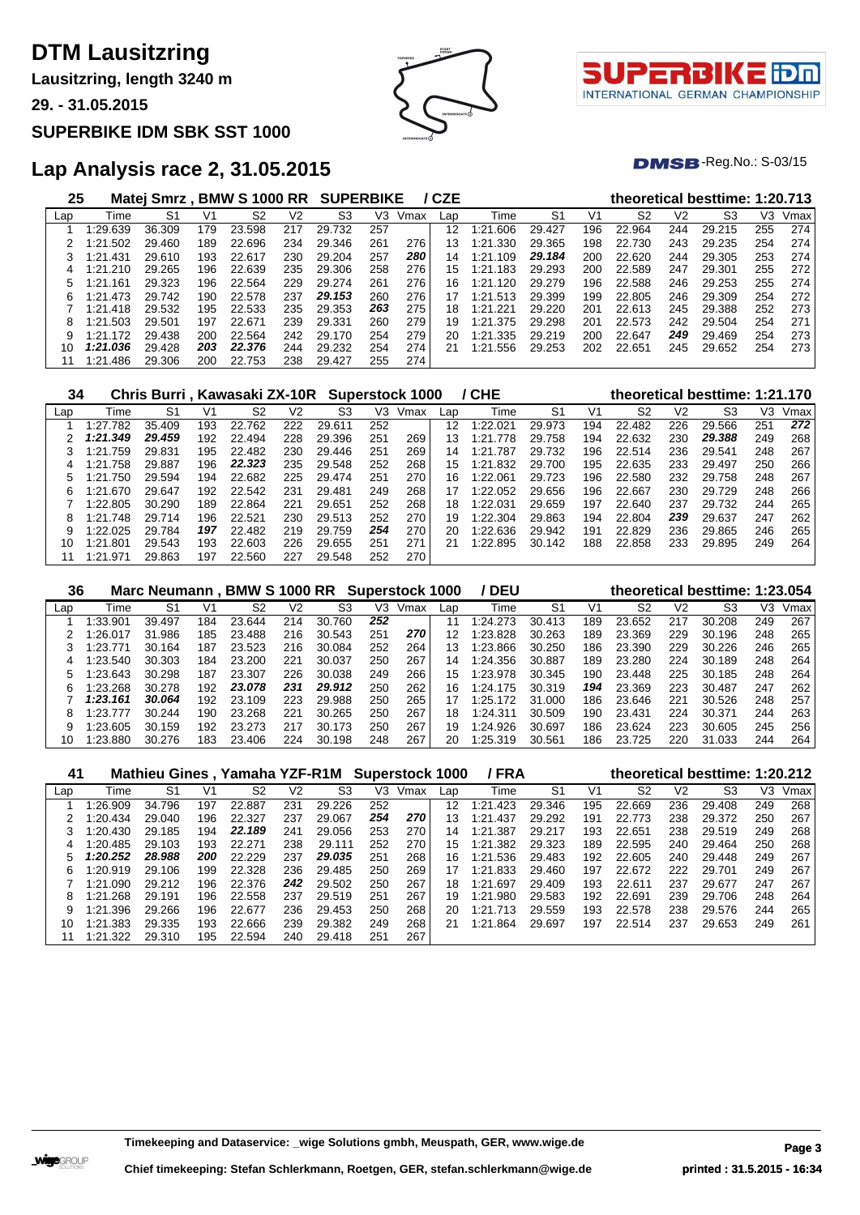**Lausitzring, length 3240 m**

**29. - 31.05.2015**

### **SUPERBIKE IDM SBK SST 1000**





 $DMSB$ -Reg.No.:  $S-03/15$ 

| 25  |             | Matei Smrz. |     | <b>BMW S 1000 RR</b> |     | <b>SUPERBIKE</b> |     |      | / CZE |              |                |     | theoretical besttime: 1:20.713 |     |        |     |      |
|-----|-------------|-------------|-----|----------------------|-----|------------------|-----|------|-------|--------------|----------------|-----|--------------------------------|-----|--------|-----|------|
| Lap | Time        | S1          | V1  | S2                   | V2  | S3               | VЗ  | Vmax | Lap   | Time         | S <sub>1</sub> | V1  | S2                             | V2  | S3     | V3  | Vmax |
|     | :29.639     | 36.309      | 179 | 23.598               | 217 | 29<br>.732       | 257 |      | 12    | 1:21<br>.606 | 29.427         | 196 | 22.964                         | 244 | 29.215 | 255 | 274  |
|     | 1:21.502    | 29.460      | 189 | 22.696               | 234 | 29.346           | 261 | 276  | 13    | 1:21<br>.330 | 29.365         | 198 | 22.730                         | 243 | 29.235 | 254 | 274  |
| 3   | 1:21.431    | 29.610      | 193 | 22.617               | 230 | 29.204           | 257 | 280  | 14    | 1:21.109     | 29.184         | 200 | 22.620                         | 244 | 29.305 | 253 | 274  |
| 4   | 1:21.210    | 29.265      | 196 | 22.639               | 235 | 29.306           | 258 | 276  | 15    | 1:21<br>.183 | 29.293         | 200 | 22.589                         | 247 | 29.301 | 255 | 272  |
| 5   | 161<br>1.21 | 29.323      | 196 | 22.564               | 229 | 29.274           | 261 | 276  | 16    | 1:21<br>.120 | 29.279         | 196 | 22.588                         | 246 | 29.253 | 255 | 274  |
| 6   | 1:21.473    | 29.742      | 190 | 22.578               | 237 | 29.153           | 260 | 276  | 17    | 1:21.513     | 29.399         | 199 | 22.805                         | 246 | 29.309 | 254 | 272  |
|     | 1:21.418    | 29.532      | 195 | 22.533               | 235 | 29.353           | 263 | 275  | 18    | 1:21.221     | 29.220         | 201 | 22.613                         | 245 | 29.388 | 252 | 273  |
| 8   | 1:21.503    | 29.501      | 197 | 22.671               | 239 | 29.331           | 260 | 279  | 19    | 1:21<br>.375 | 29.298         | 201 | 22.573                         | 242 | 29.504 | 254 | 271  |
| 9   | 1:21.172    | 29.438      | 200 | 22.564               | 242 | 29.170           | 254 | 279  | 20    | 1:21.335     | 29.219         | 200 | 22.647                         | 249 | 29.469 | 254 | 273  |
| 10  | 1:21.036    | 29.428      | 203 | 22.376               | 244 | 29.232           | 254 | 274  | 21    | 1:21<br>.556 | 29.253         | 202 | 22.651                         | 245 | 29.652 | 254 | 273  |
|     | 1:21.486    | 29.306      | 200 | 22.753               | 238 | 29.427           | 255 | 274  |       |              |                |     |                                |     |        |     |      |

| 34  |              | Chris Burri, Kawasaki ZX-10R |     |        |     |        |     | Superstock 1000 |     | / CHE        |                |     |                |                | theoretical besttime: 1:21.170 |     |      |
|-----|--------------|------------------------------|-----|--------|-----|--------|-----|-----------------|-----|--------------|----------------|-----|----------------|----------------|--------------------------------|-----|------|
| Lap | Time         | S1                           | V1  | S2     | V2  | S3     | VЗ  | Vmax            | Lap | Time         | S <sub>1</sub> | V1  | S <sub>2</sub> | V <sub>2</sub> | S3                             | V3  | Vmax |
|     | 1:27.782     | 35.409                       | 193 | 22.762 | 222 | 29.611 | 252 |                 | 12  | 1:22.021     | 29.973         | 194 | 22.482         | 226            | 29.566                         | 251 | 272  |
|     | 1:21.349     | 29.459                       | 192 | 22.494 | 228 | 29.396 | 251 | 269             | 13  | 1:21<br>.778 | 29.758         | 194 | 22.632         | 230            | 29.388                         | 249 | 268  |
|     | 1:21.759     | 29.831                       | 195 | 22.482 | 230 | 29.446 | 251 | 269             | 14  | 1:21<br>.787 | 29.732         | 196 | 22.514         | 236            | 29.541                         | 248 | 267  |
| 4   | 1:21.758     | 29.887                       | 196 | 22.323 | 235 | 29.548 | 252 | 268             | 15  | 1:21.832     | 29.700         | 195 | 22.635         | 233            | 29.497                         | 250 | 266  |
| 5   | .750<br>1:21 | 29.594                       | 194 | 22.682 | 225 | 29.474 | 251 | 270             | 16  | 1:22.061     | 29.723         | 196 | 22.580         | 232            | 29.758                         | 248 | 267  |
| 6   | .670<br>1:21 | 29.647                       | 192 | 22.542 | 231 | 29.481 | 249 | 268             | 17  | 1:22.052     | 29.656         | 196 | 22.667         | 230            | 29.729                         | 248 | 266  |
|     | 1:22.805     | 30.290                       | 189 | 22.864 | 221 | 29.651 | 252 | 268             | 18  | 1:22.031     | 29.659         | 197 | 22.640         | 237            | 29.732                         | 244 | 265  |
| 8   | 1:21.748     | 29.714                       | 196 | 22.521 | 230 | 29.513 | 252 | 270             | 19  | 1:22.304     | 29.863         | 194 | 22.804         | 239            | 29.637                         | 247 | 262  |
| 9   | 1:22.025     | 29.784                       | 197 | 22.482 | 219 | 29.759 | 254 | 270             | 20  | 1:22.636     | 29.942         | 191 | 22.829         | 236            | 29.865                         | 246 | 265  |
| 10  | 1:21.801     | 29.543                       | 193 | 22.603 | 226 | 29.655 | 251 | 271             | 21  | 1:22.895     | 30.142         | 188 | 22.858         | 233            | 29.895                         | 249 | 264  |
| 11  | ⊟971<br>1:21 | 29.863                       | 197 | 22.560 | 227 | 29.548 | 252 | 270             |     |              |                |     |                |                |                                |     |      |

| 36  |          |        |     | Marc Neumann, BMW S 1000 RR |     |            | <b>Superstock 1000</b> |      |     | ' DEU         |                |     |        |                | theoretical besttime: 1:23.054 |     |      |
|-----|----------|--------|-----|-----------------------------|-----|------------|------------------------|------|-----|---------------|----------------|-----|--------|----------------|--------------------------------|-----|------|
| Lap | Time     | S1     | V1  | S2                          | V2  | S3         | V3                     | Vmax | Lap | Time          | S <sub>1</sub> | V1  | S2     | V <sub>2</sub> | S3                             | V3  | Vmax |
|     | 1:33.901 | 39.497 | 184 | 23.644                      | 214 | 30.760     | 252                    |      | 11  | 1:24.273      | 30.413         | 189 | 23.652 | 217            | 30.208                         | 249 | 267  |
|     | 1:26.017 | 31.986 | 185 | 23.488                      | 216 | 30.543     | 251                    | 270  | 12  | 1:23.828      | 30.263         | 189 | 23.369 | 229            | 30.196                         | 248 | 265  |
|     | 1:23.771 | 30.164 | 187 | 23.523                      | 216 | 30.084     | 252                    | 264  | 13  | 1:23.866      | 30.250         | 186 | 23.390 | 229            | 30.226                         | 246 | 265  |
| 4   | 1:23.540 | 30.303 | 184 | 23.200                      | 221 | 30.037     | 250                    | 267  | 14  | 1:24.356      | 30.887         | 189 | 23.280 | 224            | 30.189                         | 248 | 264  |
|     | 1:23.643 | 30.298 | 187 | 23.307                      | 226 | 30.038     | 249                    | 266  | 15  | 1:23.978      | 30.345         | 190 | 23.448 | 225            | 30.185                         | 248 | 264  |
| h   | 1:23.268 | 30.278 | 192 | 23.078                      | 231 | 29.912     | 250                    | 262  | 16  | 1:24.175      | 30.319         | 194 | 23.369 | 223            | 30.487                         | 247 | 262  |
|     | 1:23.161 | 30.064 | 192 | 23.109                      | 223 | 29.988     | 250                    | 265  | 17  | 1:25.<br>.172 | 31.000         | 186 | 23.646 | 221            | 30.526                         | 248 | 257  |
| 8   | 1:23.777 | 30.244 | 190 | 23.268                      | 221 | 30.265     | 250                    | 267  | 18  | 1:24.311      | 30.509         | 190 | 23.431 | 224            | 30.371                         | 244 | 263  |
| 9   | 1:23.605 | 30.159 | 192 | 23.273                      | 217 | 173<br>30. | 250                    | 267  | 19  | 1:24.926      | 30.697         | 186 | 23.624 | 223            | 30.605                         | 245 | 256  |
| 10  | 1:23.880 | 30.276 | 183 | 23.406                      | 224 | 30.<br>198 | 248                    | 267  | 20  | :25.319       | 30.561         | 186 | 23.725 | 220            | 31.033                         | 244 | 264  |

| 41  |          |        |     | Mathieu Gines, Yamaha YZF-R1M Superstock 1000 |     |        |     |      |     | / FRA        |                |                | theoretical besttime: 1:20.212 |                |        |     |      |
|-----|----------|--------|-----|-----------------------------------------------|-----|--------|-----|------|-----|--------------|----------------|----------------|--------------------------------|----------------|--------|-----|------|
| Lap | Time     | S1     | V1  | S2                                            | V2  | S3     | VЗ  | Vmax | Lap | Time         | S <sub>1</sub> | V <sub>1</sub> | S <sub>2</sub>                 | V <sub>2</sub> | S3     | V3  | Vmax |
|     | 1:26.909 | 34.796 | 197 | 22.887                                        | 231 | 29.226 | 252 |      | 12  | .423<br>1:21 | 29.346         | 195            | 22.669                         | 236            | 29.408 | 249 | 268  |
|     | 1:20.434 | 29.040 | 196 | 22,327                                        | 237 | 29.067 | 254 | 270  | 13  | 1:21<br>.437 | 29.292         | 191            | 22.773                         | 238            | 29.372 | 250 | 267  |
|     | 1:20.430 | 29.185 | 194 | 22.189                                        | 241 | 29.056 | 253 | 270  | 14  | 1:21<br>.387 | 29.217         | 193            | 22.651                         | 238            | 29.519 | 249 | 268  |
| 4   | 1:20.485 | 29.103 | 193 | 22.271                                        | 238 | 29.111 | 252 | 270  | 15  | 1:21.382     | 29.323         | 189            | 22.595                         | 240            | 29.464 | 250 | 268  |
| 5.  | 1:20.252 | 28.988 | 200 | 22.229                                        | 237 | 29.035 | 251 | 268  | 16  | 1:21.536     | 29.483         | 192            | 22.605                         | 240            | 29.448 | 249 | 267  |
| 6   | 1:20.919 | 29.106 | 199 | 22.328                                        | 236 | 29.485 | 250 | 269  | 17  | 1:21.833     | 29.460         | 197            | 22.672                         | 222            | 29.701 | 249 | 267  |
|     | 1:21.090 | 29.212 | 196 | 22.376                                        | 242 | 29.502 | 250 | 267  | 18  | 1:21.697     | 29.409         | 193            | 22.611                         | 237            | 29.677 | 247 | 267  |
| 8   | 1:21.268 | 29.191 | 196 | 22.558                                        | 237 | 29.519 | 251 | 267  | 19  | 1:21.980     | 29.583         | 192            | 22.691                         | 239            | 29.706 | 248 | 264  |
| 9   | 1:21.396 | 29.266 | 196 | 22.677                                        | 236 | 29.453 | 250 | 268  | 20  | 1:21<br>.713 | 29.559         | 193            | 22.578                         | 238            | 29.576 | 244 | 265  |
| 10  | 1:21.383 | 29.335 | 193 | 22.666                                        | 239 | 29.382 | 249 | 268  | 21  | 1:21<br>.864 | 29.697         | 197            | 22.514                         | 237            | 29.653 | 249 | 261  |
| 11  | 1:21.322 | 29.310 | 195 | 22.594                                        | 240 | 29.418 | 251 | 267  |     |              |                |                |                                |                |        |     |      |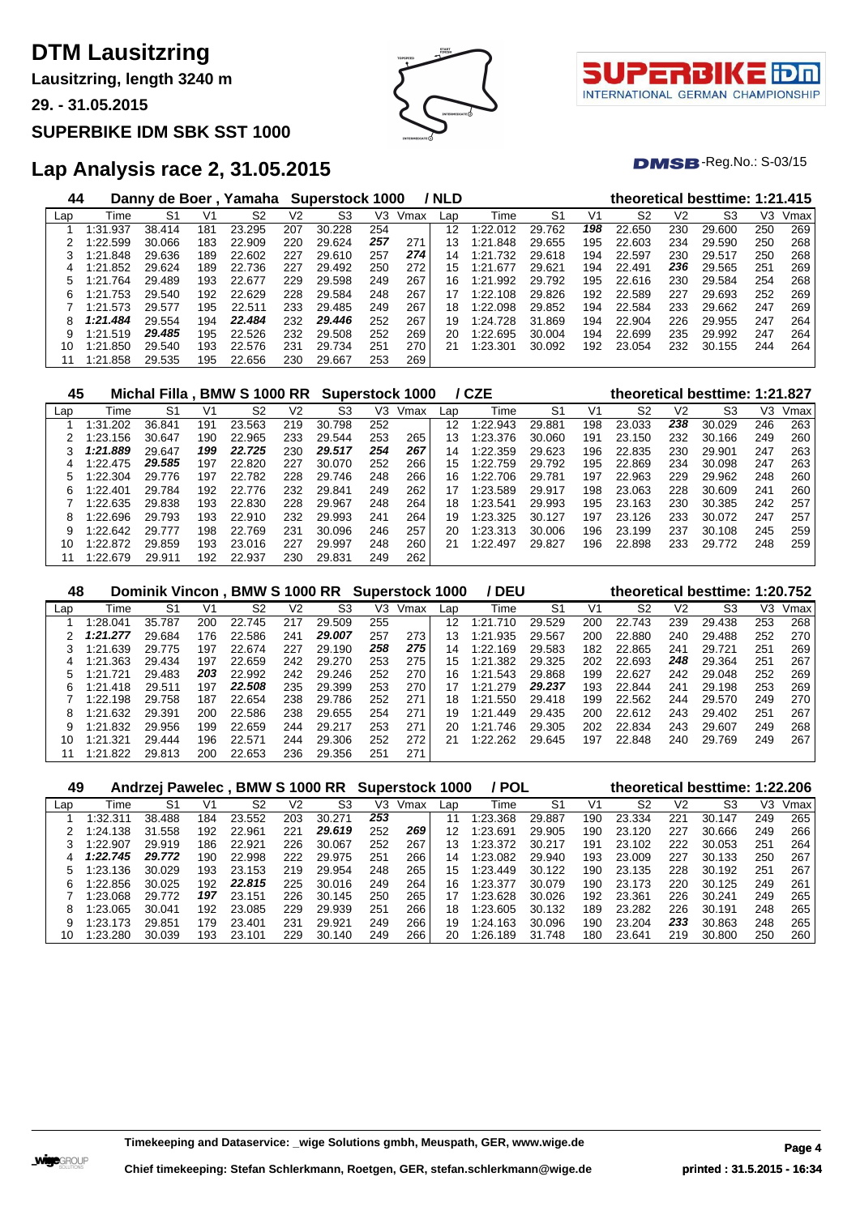**Lausitzring, length 3240 m**

**29. - 31.05.2015**

### **SUPERBIKE IDM SBK SST 1000**





 $DMSB$ -Reg.No.:  $S-03/15$ 

| 44  |               | Danny de Boer. |     | Yamaha |     | Superstock 1000 |     |      | / NLD |              |                |     |                |     | theoretical besttime: 1:21.415 |     |      |
|-----|---------------|----------------|-----|--------|-----|-----------------|-----|------|-------|--------------|----------------|-----|----------------|-----|--------------------------------|-----|------|
| Lap | Time          | S1             | V1  | S2     | V2  | S <sub>3</sub>  | V3  | Vmax | Lap   | Time         | S <sub>1</sub> | V1  | S <sub>2</sub> | V2  | S3                             | VЗ  | Vmax |
|     | 1:31.937      | 38.414         | 181 | 23.295 | 207 | 30.228          | 254 |      | 12    | 1:22.012     | 29.762         | 198 | 22.650         | 230 | 29.600                         | 250 | 269  |
|     | 1:22.599      | 30.066         | 183 | 22.909 | 220 | 29.624          | 257 | 271  | 13    | 1:21.848     | 29.655         | 195 | 22.603         | 234 | 29.590                         | 250 | 268  |
|     | 1:21.848      | 29.636         | 189 | 22.602 | 227 | 29.610          | 257 | 274  | 14    | 1:21<br>.732 | 29.618         | 194 | 22.597         | 230 | 29.517                         | 250 | 268  |
| 4   | 1:21.852      | 29.624         | 189 | 22.736 | 227 | 29.492          | 250 | 272  | 15    | 1:21<br>.677 | 29.621         | 194 | 22.491         | 236 | 29.565                         | 251 | 269  |
| 5   | 1:21.764      | 29.489         | 193 | 22.677 | 229 | 29.598          | 249 | 267  | 16    | .992<br>1:21 | 29.792         | 195 | 22.616         | 230 | 29.584                         | 254 | 268  |
| 6   | .753<br>1:21. | 29.540         | 192 | 22.629 | 228 | 29.584          | 248 | 267  | 17    | 1:22.108     | 29.826         | 192 | 22.589         | 227 | 29.693                         | 252 | 269  |
|     | 1:21.573      | 29.577         | 195 | 22.511 | 233 | 29.485          | 249 | 267  | 18    | 1:22.098     | 29.852         | 194 | 22.584         | 233 | 29.662                         | 247 | 269  |
| 8   | 1:21.484      | 29.554         | 194 | 22.484 | 232 | 29.446          | 252 | 267  | 19    | 1:24.728     | 31.869         | 194 | 22.904         | 226 | 29.955                         | 247 | 264  |
| 9   | 1:21.519      | 29.485         | 195 | 22.526 | 232 | 29.508          | 252 | 269  | 20    | 1:22.695     | 30.004         | 194 | 22.699         | 235 | 29.992                         | 247 | 264  |
| 10  | 1:21.850      | 29.540         | 193 | 22.576 | 231 | 29.734          | 251 | 270  | 21    | 1:23.301     | 30.092         | 192 | 23.054         | 232 | 30.155                         | 244 | 264  |
|     | 1:21.858      | 29.535         | 195 | 22.656 | 230 | 29.667          | 253 | 269  |       |              |                |     |                |     |                                |     |      |

| 45  |               | Michal Filla.  |     | BMW S 1000 RR Superstock 1000 |     |        |     |      |     | / CZE    |                |     |                |                | theoretical besttime: 1:21.827 |     |      |
|-----|---------------|----------------|-----|-------------------------------|-----|--------|-----|------|-----|----------|----------------|-----|----------------|----------------|--------------------------------|-----|------|
| Lap | Time          | S <sub>1</sub> | V1  | S2                            | V2  | S3     | V3  | Vmax | Lap | Time     | S <sub>1</sub> | V1  | S <sub>2</sub> | V <sub>2</sub> | S3                             | V3  | Vmax |
|     | -202<br>1:31. | 36.841         | 191 | 23.563                        | 219 | 30.798 | 252 |      | 12  | 1:22.943 | 29.881         | 198 | 23.033         | 238            | 30.029                         | 246 | 263  |
|     | 1:23.156      | 30.647         | 190 | 22.965                        | 233 | 29.544 | 253 | 265  | 13  | 1:23.376 | 30.060         | 191 | 23.150         | 232            | 30.166                         | 249 | 260  |
|     | 1:21.889      | 29.647         | 199 | 22.725                        | 230 | 29.517 | 254 | 267  | 14  | 1:22.359 | 29.623         | 196 | 22.835         | 230            | 29.901                         | 247 | 263  |
|     | 1:22.475      | 29.585         | 197 | 22.820                        | 227 | 30.070 | 252 | 266  | 15  | 1:22.759 | 29.792         | 195 | 22.869         | 234            | 30.098                         | 247 | 263  |
| 5   | 1:22.304      | 29.776         | 197 | 22.782                        | 228 | 29.746 | 248 | 266  | 16  | 1:22.706 | 29.781         | 197 | 22.963         | 229            | 29.962                         | 248 | 260  |
| 6.  | 1:22.401      | 29.784         | 192 | 22.776                        | 232 | 29.841 | 249 | 262  | 17  | 1:23.589 | 29.917         | 198 | 23.063         | 228            | 30.609                         | 241 | 260  |
|     | 1:22.635      | 29.838         | 193 | 22.830                        | 228 | 29.967 | 248 | 264  | 18  | 1:23.541 | 29.993         | 195 | 23.163         | 230            | 30.385                         | 242 | 257  |
| 8   | 1:22.696      | 29.793         | 193 | 22,910                        | 232 | 29.993 | 241 | 264  | 19  | 1:23.325 | 30.127         | 197 | 23.126         | 233            | 30.072                         | 247 | 257  |
| 9   | 1:22.642      | 29.777         | 198 | 22.769                        | 231 | 30.096 | 246 | 257  | 20  | 1:23.313 | 30.006         | 196 | 23.199         | 237            | 30.108                         | 245 | 259  |
| 10  | 1:22.872      | 29.859         | 193 | 23.016                        | 227 | 29.997 | 248 | 260  | 21  | 1:22.497 | 29.827         | 196 | 22.898         | 233            | 29.772                         | 248 | 259  |
| 11  | 1:22.679      | 29.911         | 192 | 22.937                        | 230 | 29.831 | 249 | 262  |     |          |                |     |                |                |                                |     |      |

| 48  |               | Dominik Vincon. |     | BMW S 1000 RR Superstock 1000 |     |                |     |      |     | ' DEU        |                |     |                |     | theoretical besttime: 1:20.752 |     |      |
|-----|---------------|-----------------|-----|-------------------------------|-----|----------------|-----|------|-----|--------------|----------------|-----|----------------|-----|--------------------------------|-----|------|
| Lap | Time          | S1              | V1  | S2                            | V2  | S <sub>3</sub> | V3  | Vmax | Lap | Time         | S <sub>1</sub> | V1  | S <sub>2</sub> | V2  | S3                             | VЗ  | Vmax |
|     | 1:28.041      | 35.787          | 200 | 22.745                        | 217 | 29.509         | 255 |      | 12  | 1:21<br>710  | 29.529         | 200 | 22.743         | 239 | 29.438                         | 253 | 268  |
|     | 1:21.277      | 29.684          | 176 | 22.586                        | 241 | 29.007         | 257 | 273  | 13  | .935<br>1:21 | 29.567         | 200 | 22,880         | 240 | 29.488                         | 252 | 270  |
|     | 1:21.639      | 29.775          | 197 | 22.674                        | 227 | 29.190         | 258 | 275  | 14  | 1:22.169     | 29.583         | 182 | 22.865         | 241 | 29.721                         | 251 | 269  |
| 4   | 1:21.363      | 29.434          | 197 | 22.659                        | 242 | 29,270         | 253 | 275  | 15  | 1:21.382     | 29.325         | 202 | 22.693         | 248 | 29.364                         | 251 | 267  |
|     | .721<br>1:21. | 29.483          | 203 | 22.992                        | 242 | 29.246         | 252 | 270  | 16  | 1:21.543     | 29.868         | 199 | 22.627         | 242 | 29.048                         | 252 | 269  |
| 6   | 1:21.418      | 29.511          | 197 | 22.508                        | 235 | 29.399         | 253 | 270  | 17  | 1:21.279     | 29.237         | 193 | 22.844         | 241 | 29.198                         | 253 | 269  |
|     | 1:22.198      | 29.758          | 187 | 22.654                        | 238 | 29.786         | 252 | 271  | 18  | 1:21.550     | 29.418         | 199 | 22.562         | 244 | 29.570                         | 249 | 270  |
| 8   | 1:21.632      | 29.391          | 200 | 22.586                        | 238 | 29.655         | 254 | 271  | 19  | 1:21<br>.449 | 29.435         | 200 | 22.612         | 243 | 29.402                         | 251 | 267  |
| 9   | .832<br>1:21  | 29.956          | 199 | 22.659                        | 244 | 29.217         | 253 | 271  | 20  | 1:21<br>746  | 29.305         | 202 | 22.834         | 243 | 29.607                         | 249 | 268  |
| 10  | 1:21.321      | 29.444          | 196 | 22.571                        | 244 | 29.306         | 252 | 272  | 21  | 1:22.262     | 29.645         | 197 | 22.848         | 240 | 29.769                         | 249 | 267  |
| 11  | .822<br>1:21  | 29.813          | 200 | 22.653                        | 236 | .356<br>29.    | 251 | 271  |     |              |                |     |                |     |                                |     |      |

| 49  |                | Andrzei Pawelec. |     | <b>BMW S 1000 RR</b> |     |             |     | <b>Superstock 1000</b> |     | ' POL        |        |     |        |     | theoretical besttime: 1:22.206 |     |      |
|-----|----------------|------------------|-----|----------------------|-----|-------------|-----|------------------------|-----|--------------|--------|-----|--------|-----|--------------------------------|-----|------|
| Lap | Time           | S1               | V1  | S2                   | V2  | S3          | V3  | Vmax                   | Lap | Time         | S1     | V1  | S2     | V2  | S3                             | V3  | Vmax |
|     | 1:32.311       | 38.488           | 184 | 23.552               | 203 | 30.271      | 253 |                        | 11  | 1:23.368     | 29.887 | 190 | 23.334 | 221 | 30.147                         | 249 | 265  |
|     | 1:24.138       | 31.558           | 192 | 22.961               | 221 | 29.619      | 252 | 269                    | 12  | 1:23.691     | 29.905 | 190 | 23.120 | 227 | 30.666                         | 249 | 266  |
|     | 1:22.907       | 29.919           | 186 | 22.921               | 226 | 30.067      | 252 | 267                    | 13  | 1:23.372     | 30.217 | 191 | 23.102 | 222 | 30.053                         | 251 | 264  |
| 4   | 1:22.745       | 29.772           | 190 | 22.998               | 222 | 29.975      | 251 | 266                    | 14  | 1:23.082     | 29.940 | 193 | 23.009 | 227 | 30.133                         | 250 | 267  |
|     | .136<br>$-23.$ | 30.029           | 193 | .153<br>23.          | 219 | 29.954      | 248 | 265                    | 15  | 1:23.449     | 30.122 | 190 | 23.135 | 228 | 30.192                         | 251 | 267  |
| h   | 1:22.856       | 30.025           | 192 | 22.815               | 225 | 30.016      | 249 | 264                    | 16  | 1:23.377     | 30.079 | 190 | 23.173 | 220 | 30.125                         | 249 | 261  |
|     | 1:23.068       | 29.772           | 197 | 23.151               | 226 | 30.<br>.145 | 250 | 265                    | 17  | 1:23.628     | 30.026 | 192 | 23.361 | 226 | 30.241                         | 249 | 265  |
| 8   | 1:23.065       | 30.041           | 192 | 23.085               | 229 | 29.939      | 251 | 266                    | 18  | 1:23.605     | 30.132 | 189 | 23.282 | 226 | 30.191                         | 248 | 265  |
| 9   | 1:23.173       | 29.851           | 179 | 23.401               | 231 | 29.921      | 249 | 266                    | 19  | .24.<br>.163 | 30.096 | 190 | 23.204 | 233 | 30.863                         | 248 | 265  |
| 10  | 1:23.280       | 30.039           | 193 | 23.101               | 229 | 30.140      | 249 | 266                    | 20  | 1:26.189     | 31.748 | 180 | 23.641 | 219 | 30.800                         | 250 | 260  |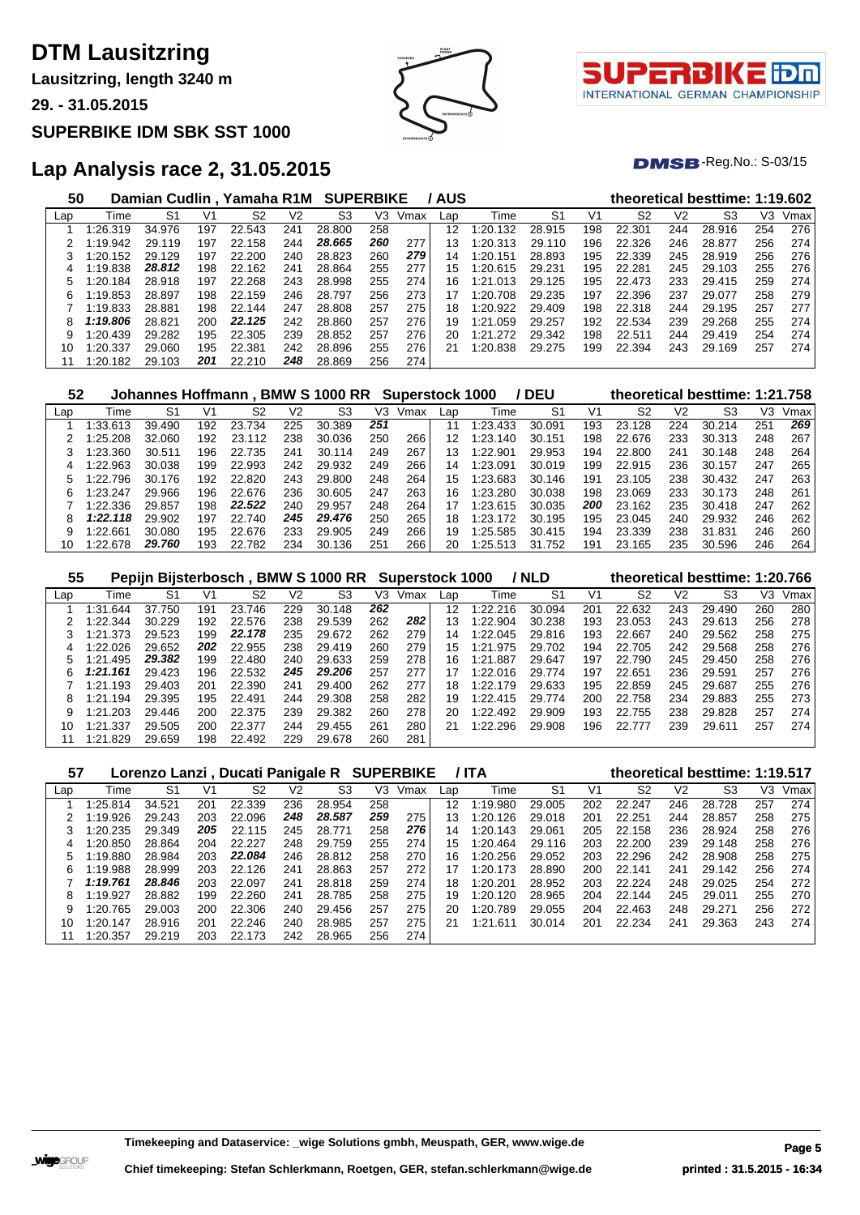**Lausitzring, length 3240 m**

**29. - 31.05.2015**

#### **SUPERBIKE IDM SBK SST 1000**





 $DMSB$ -Reg.No.:  $S-03/15$ 

| 50  |          |        |     | Damian Cudlin, Yamaha R1M SUPERBIKE |     |        |     |      | / AUS |               |                |     |                |                | theoretical besttime: 1:19.602 |     |      |
|-----|----------|--------|-----|-------------------------------------|-----|--------|-----|------|-------|---------------|----------------|-----|----------------|----------------|--------------------------------|-----|------|
| Lap | Time     | S1     | V1  | S2                                  | V2  | S3     | VЗ  | Vmax | Lap   | Time          | S <sub>1</sub> | V1  | S <sub>2</sub> | V <sub>2</sub> | S3                             | V3  | Vmax |
|     | :26.319  | 34.976 | 197 | 22.543                              | 241 | 28.800 | 258 |      | 12    | 1:20.<br>.132 | 28.915         | 198 | 22.301         | 244            | 28.916                         | 254 | 276  |
|     | 1:19.942 | 29.119 | 197 | 22.158                              | 244 | 28.665 | 260 | 277  | 13    | 1:20.313      | 29.110         | 196 | 22.326         | 246            | 28.877                         | 256 | 274  |
|     | 1:20.152 | 29.129 | 197 | 22,200                              | 240 | 28.823 | 260 | 279  | 14    | 1:20.151      | 28.893         | 195 | 22.339         | 245            | 28.919                         | 256 | 276  |
|     | 1:19.838 | 28.812 | 198 | 22.162                              | 241 | 28.864 | 255 | 277  | 15    | 1:20.615      | 29.231         | 195 | 22.281         | 245            | 29.103                         | 255 | 276  |
| 5   | 1:20.184 | 28.918 | 197 | 22.268                              | 243 | 28.998 | 255 | 274  | 16    | 1:21.013      | 29.125         | 195 | 22.473         | 233            | 29.415                         | 259 | 274  |
| 6   | 1:19.853 | 28.897 | 198 | 22.159                              | 246 | 28.797 | 256 | 273  | 17    | 1:20.708      | 29.235         | 197 | 22.396         | 237            | 29.077                         | 258 | 279  |
|     | 1:19.833 | 28.881 | 198 | 22.144                              | 247 | 28,808 | 257 | 275  | 18    | 1:20.922      | 29.409         | 198 | 22.318         | 244            | 29.195                         | 257 | 277  |
| 8   | 1:19.806 | 28.821 | 200 | 22.125                              | 242 | 28,860 | 257 | 276  | 19    | 1:21.059      | 29.257         | 192 | 22.534         | 239            | 29.268                         | 255 | 274  |
| 9   | 1:20.439 | 29.282 | 195 | 22.305                              | 239 | 28.852 | 257 | 276  | 20    | 1:21.272      | 29.342         | 198 | 22.511         | 244            | 29.419                         | 254 | 274  |
| 10  | 1:20.337 | 29.060 | 195 | 22.381                              | 242 | 28.896 | 255 | 276  | 21    | 1:20.838      | 29.275         | 199 | 22.394         | 243            | 29.169                         | 257 | 274  |
|     | 1:20.182 | 29.103 | 201 | 22.210                              | 248 | 28.869 | 256 | 274  |       |               |                |     |                |                |                                |     |      |

| 52  |          |        |     |             |                | Johannes Hoffmann . BMW S 1000 RR |     | Superstock 1000 |     |          | / DEU  |     | theoretical besttime: 1:21.758 |                |        |     |      |
|-----|----------|--------|-----|-------------|----------------|-----------------------------------|-----|-----------------|-----|----------|--------|-----|--------------------------------|----------------|--------|-----|------|
| Lap | Time     | S1     | V1  | S2          | V <sub>2</sub> | S3                                | V3  | Vmax            | Lap | Time     | S1     | V1  | S2                             | V <sub>2</sub> | S3     | VЗ  | Vmax |
|     | 1:33.613 | 39.490 | 192 | 23.<br>.734 | 225            | 30.389                            | 251 |                 | 11  | 1:23.433 | 30.091 | 193 | 23.128                         | 224            | 30.214 | 251 | 269  |
|     | 1:25.208 | 32.060 | 192 | 23.112      | 238            | 30.036                            | 250 | 266             | 12  | 1:23.140 | 30.151 | 198 | 22.676                         | 233            | 30.313 | 248 | 267  |
|     | 1:23.360 | 30.511 | 196 | 22.735      | 241            | 30.<br>.114                       | 249 | 267             | 13  | 1:22.901 | 29.953 | 194 | 22,800                         | 241            | 30.148 | 248 | 264  |
| 4   | 1:22.963 | 30.038 | 199 | 22.993      | 242            | 29.932                            | 249 | 266             | 14  | 1:23.091 | 30.019 | 199 | 22.915                         | 236            | 30.157 | 247 | 265  |
| 5   | 1:22.796 | 30.176 | 192 | 22,820      | 243            | 29,800                            | 248 | 264             | 15  | 1:23.683 | 30.146 | 191 | 23.105                         | 238            | 30.432 | 247 | 263  |
| 6   | 1:23.247 | 29.966 | 196 | 22.676      | 236            | 30.605                            | 247 | 263             | 16  | 1:23.280 | 30.038 | 198 | 23.069                         | 233            | 30.173 | 248 | 261  |
|     | 1:22.336 | 29.857 | 198 | 22.522      | 240            | 29.957                            | 248 | 264             | 17  | 1:23.615 | 30.035 | 200 | 23.162                         | 235            | 30.418 | 247 | 262  |
| 8   | 1:22.118 | 29.902 | 197 | 22.<br>.740 | 245            | 29.476                            | 250 | 265             | 18  | 1:23.172 | 30.195 | 195 | 23.045                         | 240            | 29.932 | 246 | 262  |
| 9   | 1:22.661 | 30.080 | 195 | 22.676      | 233            | 29.905                            | 249 | 266             | 19  | 1:25.585 | 30.415 | 194 | 23.339                         | 238            | 31.831 | 246 | 260  |
| 10  | 1:22.678 | 29.760 | 193 | 22.782      | 234            | .136<br>30.                       | 251 | 266             | 20  | 1:25.513 | 31.752 | 191 | 23.165                         | 235            | 30.596 | 246 | 264  |

| 55  |              |        |     |        |     | Pepijn Bijsterbosch, BMW S 1000 RR |     | <b>Superstock 1000</b> |     |          | / NLD          |     |        |                | theoretical besttime: 1:20.766 |     |      |
|-----|--------------|--------|-----|--------|-----|------------------------------------|-----|------------------------|-----|----------|----------------|-----|--------|----------------|--------------------------------|-----|------|
| Lap | Time         | S1     | V1  | S2     | V2  | S3                                 | VЗ  | Vmax                   | Lap | Time     | S <sub>1</sub> | V1  | S2     | V <sub>2</sub> | S3                             | V3  | Vmax |
|     | 1:31<br>.644 | 37.750 | 191 | 23.746 | 229 | 30.148                             | 262 |                        | 12  | 1:22.216 | 30.094         | 201 | 22.632 | 243            | 29.490                         | 260 | 280  |
|     | 1:22.344     | 30.229 | 192 | 22.576 | 238 | 29.539                             | 262 | 282                    | 13  | 1:22.904 | 30.238         | 193 | 23.053 | 243            | 29.613                         | 256 | 278  |
|     | 1:21.373     | 29.523 | 199 | 22.178 | 235 | 29.672                             | 262 | 279                    | 14  | 1:22.045 | 29.816         | 193 | 22.667 | 240            | 29.562                         | 258 | 275  |
|     | 1:22.026     | 29.652 | 202 | 22.955 | 238 | 29.419                             | 260 | 279                    | 15  | 1:21.975 | 29.702         | 194 | 22.705 | 242            | 29.568                         | 258 | 276  |
|     | 1:21.495     | 29.382 | 199 | 22.480 | 240 | 29.633                             | 259 | 278                    | 16  | 1:21.887 | 29.647         | 197 | 22.790 | 245            | 29.450                         | 258 | 276  |
| 6.  | 1:21.161     | 29.423 | 196 | 22.532 | 245 | 29.206                             | 257 | 277                    | 17  | 1:22.016 | 29.774         | 197 | 22.651 | 236            | 29.591                         | 257 | 276  |
|     | 1:21.193     | 29.403 | 201 | 22.390 | 241 | 29.400                             | 262 | 277                    | 18  | 1:22.179 | 29.633         | 195 | 22.859 | 245            | 29.687                         | 255 | 276  |
| 8   | 1:21.194     | 29.395 | 195 | 22.491 | 244 | 29.308                             | 258 | 282                    | 19  | 1:22.415 | 29.774         | 200 | 22.758 | 234            | 29.883                         | 255 | 273  |
| 9   | 1:21.203     | 29.446 | 200 | 22.375 | 239 | 29.382                             | 260 | 278                    | 20  | 1:22.492 | 29.909         | 193 | 22.755 | 238            | 29.828                         | 257 | 274  |
| 10  | 1:21.337     | 29.505 | 200 | 22,377 | 244 | 29.455                             | 261 | 280                    | 21  | 1:22.296 | 29.908         | 196 | 22,777 | 239            | 29.611                         | 257 | 274  |
|     | 1:21.829     | 29.659 | 198 | 22.492 | 229 | 29.678                             | 260 | 281                    |     |          |                |     |        |                |                                |     |      |

| 57  |          |        |     | Lorenzo Lanzi, Ducati Panigale R SUPERBIKE |                |        |     |      |     | 7 ITA        |        |     |                |                | theoretical besttime: 1:19.517 |     |      |
|-----|----------|--------|-----|--------------------------------------------|----------------|--------|-----|------|-----|--------------|--------|-----|----------------|----------------|--------------------------------|-----|------|
| Lap | Time     | S1     | V1  | S2                                         | V <sub>2</sub> | S3     | V3  | Vmax | Lap | Time         | S1     | V1  | S <sub>2</sub> | V <sub>2</sub> | S3                             | V3  | Vmax |
|     | 1:25.814 | 34.521 | 201 | 22.339                                     | 236            | 28.954 | 258 |      | 12  | 1:19.980     | 29.005 | 202 | 22.247         | 246            | 28.728                         | 257 | 274  |
|     | 1:19.926 | 29.243 | 203 | 22.096                                     | 248            | 28.587 | 259 | 275  | 13  | 1:20.126     | 29.018 | 201 | 22.251         | 244            | 28.857                         | 258 | 275  |
|     | 1:20.235 | 29.349 | 205 | 22.115                                     | 245            | 28.771 | 258 | 276  | 14  | 1:20.143     | 29.061 | 205 | 22.158         | 236            | 28.924                         | 258 | 276  |
| 4   | 1:20.850 | 28.864 | 204 | 22.227                                     | 248            | 29.759 | 255 | 274  | 15  | 1:20.464     | 29.116 | 203 | 22,200         | 239            | 29.148                         | 258 | 276  |
| 5   | 1:19.880 | 28.984 | 203 | 22.084                                     | 246            | 28.812 | 258 | 270  | 16  | 1:20.256     | 29.052 | 203 | 22.296         | 242            | 28.908                         | 258 | 275  |
| 6   | 1:19.988 | 28.999 | 203 | 22.126                                     | 241            | 28.863 | 257 | 272  | 17  | 1:20.173     | 28.890 | 200 | 22.141         | 241            | 29.142                         | 256 | 274  |
|     | 1:19.761 | 28.846 | 203 | 22.097                                     | 241            | 28.818 | 259 | 274  | 18  | 1:20.201     | 28.952 | 203 | 22.224         | 248            | 29.025                         | 254 | 272  |
| 8   | 1:19.927 | 28.882 | 199 | 22.260                                     | 241            | 28.785 | 258 | 275  | 19  | 1:20.120     | 28.965 | 204 | 22.144         | 245            | 29.011                         | 255 | 270  |
| 9   | 1:20.765 | 29.003 | 200 | 22.306                                     | 240            | 29.456 | 257 | 275  | 20  | 1:20.789     | 29.055 | 204 | 22.463         | 248            | 29.271                         | 256 | 272  |
| 10  | 1:20.147 | 28.916 | 201 | 22.246                                     | 240            | 28.985 | 257 | 275  | 21  | 1:21<br>.611 | 30.014 | 201 | 22.234         | 241            | 29.363                         | 243 | 274  |
| 11  | 1:20.357 | 29.219 | 203 | 22.173                                     | 242            | 28.965 | 256 | 274  |     |              |        |     |                |                |                                |     |      |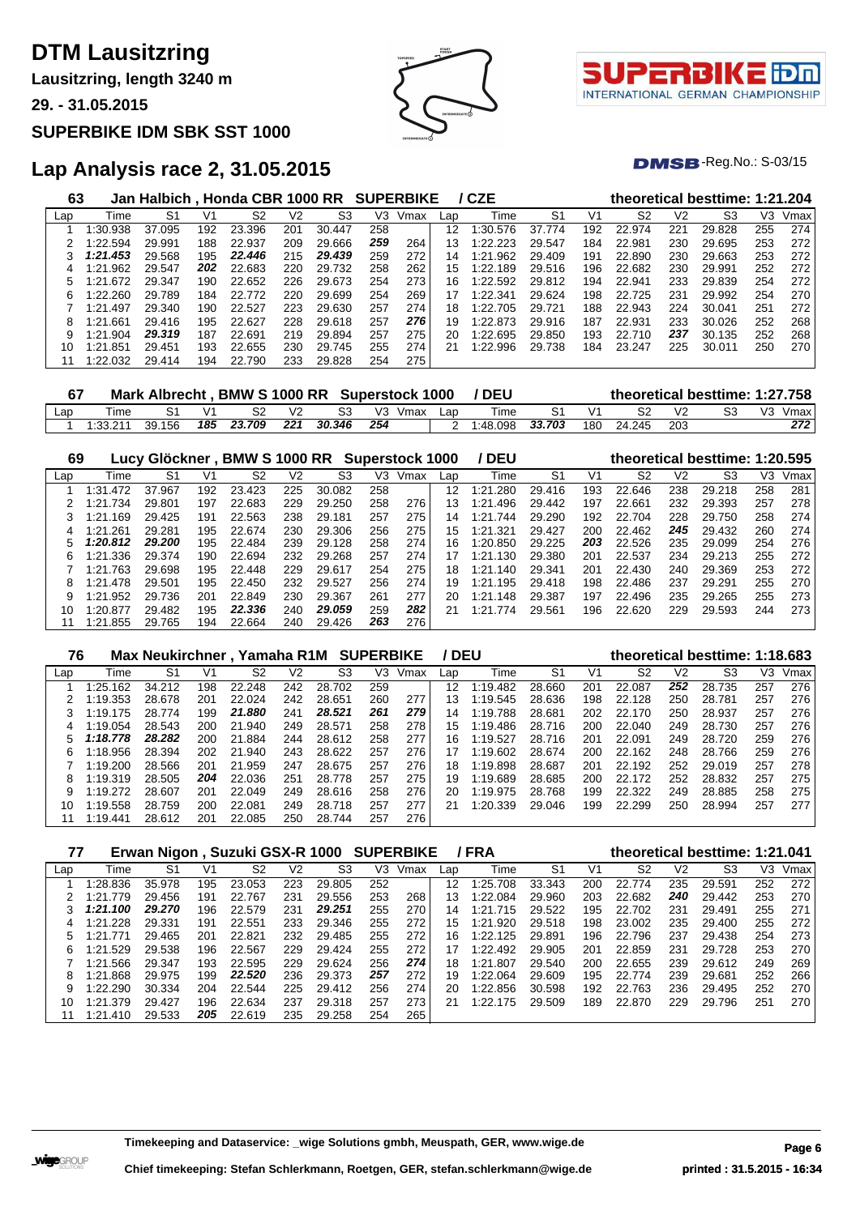**Lausitzring, length 3240 m**

**29. - 31.05.2015**

#### **SUPERBIKE IDM SBK SST 1000**





 $DMSB$ -Reg.No.:  $S-03/15$ 

| 63  |                | Jan Halbich, Honda CBR 1000 RR SUPERBIKE |     |        |     |                |     |      |     | / CZE    |                |     |                |     | theoretical besttime: 1:21.204 |     |      |
|-----|----------------|------------------------------------------|-----|--------|-----|----------------|-----|------|-----|----------|----------------|-----|----------------|-----|--------------------------------|-----|------|
| Lap | Time           | S1                                       | V1  | S2     | V2  | S <sub>3</sub> | VЗ  | Vmax | Lap | Time     | S <sub>1</sub> | V1  | S <sub>2</sub> | V2  | S3                             | VЗ  | Vmax |
|     | $\cdot 30.938$ | 37.095                                   | 192 | 23.396 | 201 | 30.447         | 258 |      | 12  | 1:30.576 | 37.774         | 192 | 22.974         | 221 | 29.828                         | 255 | 274  |
|     | 1:22.594       | 29.991                                   | 188 | 22.937 | 209 | 29.666         | 259 | 264  | 13  | 1:22.223 | 29.547         | 184 | 22.981         | 230 | 29.695                         | 253 | 272  |
|     | 1:21.453       | 29.568                                   | 195 | 22.446 | 215 | 29.439         | 259 | 272  | 14  | 1:21.962 | 29.409         | 191 | 22.890         | 230 | 29.663                         | 253 | 272  |
|     | 1:21.962       | 29.547                                   | 202 | 22.683 | 220 | 29.732         | 258 | 262  | 15  | 1:22.189 | 29.516         | 196 | 22.682         | 230 | 29.991                         | 252 | 272  |
| 5   | 1:21.672       | 29.347                                   | 190 | 22.652 | 226 | 29.673         | 254 | 273  | 16  | 1:22.592 | 29.812         | 194 | 22.941         | 233 | 29.839                         | 254 | 272  |
| 6   | 1:22.260       | 29.789                                   | 184 | 22.772 | 220 | 29.699         | 254 | 269  | 17  | 1:22.341 | 29.624         | 198 | 22.725         | 231 | 29.992                         | 254 | 270  |
|     | 1:21.497       | 29.340                                   | 190 | 22.527 | 223 | 29.630         | 257 | 274  | 18  | 1:22.705 | 29.721         | 188 | 22.943         | 224 | 30.041                         | 251 | 272  |
| 8   | 1:21.661       | 29.416                                   | 195 | 22.627 | 228 | 29.618         | 257 | 276  | 19  | 1:22.873 | 29.916         | 187 | 22.931         | 233 | 30.026                         | 252 | 268  |
| 9   | 1:21.904       | 29.319                                   | 187 | 22.691 | 219 | 29.894         | 257 | 275  | 20  | 1:22.695 | 29.850         | 193 | 22.710         | 237 | 30.135                         | 252 | 268  |
| 10  | 1:21.851       | 29.451                                   | 193 | 22.655 | 230 | 29.745         | 255 | 274  | 21  | 1:22.996 | 29.738         | 184 | 23.247         | 225 | 30.011                         | 250 | 270  |
|     | 1:22.032       | 29.414                                   | 194 | 22.790 | 233 | 29.828         | 254 | 275  |     |          |                |     |                |     |                                |     |      |

| 67  |          |        |     |        |     |        | Mark Albrecht, BMW S 1000 RR Superstock 1000 |     | / DEU    |        |            |        |     | theoretical besttime: 1:27.758 |
|-----|----------|--------|-----|--------|-----|--------|----------------------------------------------|-----|----------|--------|------------|--------|-----|--------------------------------|
| Lap | Time     |        |     |        | V2  |        | V <sub>3</sub><br>Vmax                       | Lan | Time     |        | $\sqrt{1}$ |        | ٧S  | Vmax                           |
|     | 1:33.211 | 39.156 | 185 | 23.709 | 221 | 30.346 | 254                                          |     | 1:48.098 | 33.703 | 180        | 24.245 | 203 | 272                            |

| 69  |               | Lucy Glöckner, BMW S 1000 RR Superstock 1000 |     |        |     |        |     |      |     | / DEU        |        |     | theoretical besttime: 1:20.595 |                |        |     |      |
|-----|---------------|----------------------------------------------|-----|--------|-----|--------|-----|------|-----|--------------|--------|-----|--------------------------------|----------------|--------|-----|------|
| Lap | Time          | S1                                           | V1  | S2     | V2  | S3     | VЗ  | Vmax | Lap | Time         | S1     | V1  | S2                             | V <sub>2</sub> | S3     | V3  | Vmax |
|     | .472<br>1:31  | 37.967                                       | 192 | 23.423 | 225 | 30.082 | 258 |      | 12  | .280<br>1:21 | 29.416 | 193 | 22.646                         | 238            | 29.218 | 258 | 281  |
|     | 1:21.734      | 29.801                                       | 197 | 22.683 | 229 | 29.250 | 258 | 276  | 13  | 1:21<br>.496 | 29.442 | 197 | 22.661                         | 232            | 29.393 | 257 | 278  |
|     | .169<br>1:21. | 29.425                                       | 191 | 22.563 | 238 | 29.181 | 257 | 275  | 14  | .744<br>1:21 | 29.290 | 192 | 22.704                         | 228            | 29.750 | 258 | 274  |
| 4   | 1:21.261      | 29.281                                       | 195 | 22.674 | 230 | 29.306 | 256 | 275  | 15  | 1:21.321     | 29.427 | 200 | 22.462                         | 245            | 29.432 | 260 | 274  |
|     | 1:20.812      | 29.200                                       | 195 | 22.484 | 239 | 29.128 | 258 | 274  | 16  | 1:20.850     | 29.225 | 203 | 22.526                         | 235            | 29.099 | 254 | 276  |
| 6   | 1:21.336      | 29.374                                       | 190 | 22.694 | 232 | 29.268 | 257 | 274  | 17  | .130<br>1:21 | 29.380 | 201 | 22.537                         | 234            | 29.213 | 255 | 272  |
|     | 1:21.763      | 29.698                                       | 195 | 22.448 | 229 | 29.617 | 254 | 275  | 18  | 1:21.140     | 29.341 | 201 | 22.430                         | 240            | 29.369 | 253 | 272  |
| 8   | 1:21.478      | 29.501                                       | 195 | 22.450 | 232 | 29.527 | 256 | 274  | 19  | 1:21.195     | 29.418 | 198 | 22.486                         | 237            | 29.291 | 255 | 270  |
| 9   | 1:21.952      | 29.736                                       | 201 | 22.849 | 230 | 29.367 | 261 | 277  | 20  | 1:21<br>.148 | 29.387 | 197 | 22.496                         | 235            | 29.265 | 255 | 273  |
| 10  | 1:20.877      | 29.482                                       | 195 | 22.336 | 240 | 29.059 | 259 | 282  | 21  | .774<br>1:21 | 29.561 | 196 | 22.620                         | 229            | 29.593 | 244 | 273  |
|     | 1:21.855      | 29.765                                       | 194 | 22.664 | 240 | 29.426 | 263 | 276  |     |              |        |     |                                |                |        |     |      |

| 76<br><b>SUPERBIKE</b><br>Max Neukirchner, Yamaha R1M |          |        |     |        |                |        |     |      |     | / DEU<br>theoretical besttime: 1:18.683 |                |     |                |                |        |     |      |  |
|-------------------------------------------------------|----------|--------|-----|--------|----------------|--------|-----|------|-----|-----------------------------------------|----------------|-----|----------------|----------------|--------|-----|------|--|
| Lap                                                   | Time     | S1     | V1  | S2     | V <sub>2</sub> | S3     | V3. | Vmax | Lap | Time                                    | S <sub>1</sub> | V1  | S <sub>2</sub> | V <sub>2</sub> | S3     | V3  | Vmax |  |
|                                                       | 1:25.162 | 34.212 | 198 | 22.248 | 242            | 28.702 | 259 |      | 12  | 1:19.482                                | 28.660         | 201 | 22.087         | 252            | 28.735 | 257 | 276  |  |
|                                                       | 1:19.353 | 28.678 | 201 | 22.024 | 242            | 28.651 | 260 | 277  | 13  | 1:19.545                                | 28.636         | 198 | 22.128         | 250            | 28.781 | 257 | 276  |  |
|                                                       | 1:19.175 | 28.774 | 199 | 21.880 | 241            | 28.521 | 261 | 279  | 14  | 1:19.788                                | 28.681         | 202 | 22.170         | 250            | 28.937 | 257 | 276  |  |
| 4                                                     | 1:19.054 | 28.543 | 200 | 21.940 | 249            | 28.571 | 258 | 278  | 15  | 1:19.486                                | 28.716         | 200 | 22.040         | 249            | 28.730 | 257 | 276  |  |
| 5                                                     | 1:18.778 | 28.282 | 200 | 21.884 | 244            | 28.612 | 258 | 277  | 16  | 1:19.527                                | 28.716         | 201 | 22.091         | 249            | 28.720 | 259 | 276  |  |
| 6                                                     | 1:18.956 | 28.394 | 202 | 21.940 | 243            | 28.622 | 257 | 276  | 17  | 1:19.602                                | 28.674         | 200 | 22.162         | 248            | 28.766 | 259 | 276  |  |
|                                                       | 1:19.200 | 28.566 | 201 | 21.959 | 247            | 28.675 | 257 | 276  | 18  | 1:19.898                                | 28.687         | 201 | 22.192         | 252            | 29.019 | 257 | 278  |  |
| 8                                                     | 1:19.319 | 28.505 | 204 | 22.036 | 251            | 28.778 | 257 | 275  | 19  | 1:19.689                                | 28.685         | 200 | 22.172         | 252            | 28.832 | 257 | 275  |  |
| 9                                                     | 1:19.272 | 28.607 | 201 | 22.049 | 249            | 28.616 | 258 | 276  | 20  | 1:19.975                                | 28.768         | 199 | 22.322         | 249            | 28.885 | 258 | 275  |  |
| 10                                                    | 1:19.558 | 28.759 | 200 | 22.081 | 249            | 28.718 | 257 | 277  | 21  | 1:20.339                                | 29.046         | 199 | 22.299         | 250            | 28.994 | 257 | 277  |  |
|                                                       | 1:19.441 | 28.612 | 201 | 22.085 | 250            | 28.744 | 257 | 276  |     |                                         |                |     |                |                |        |     |      |  |

| Erwan Nigon, Suzuki GSX-R 1000 SUPERBIKE<br>/ FRA<br>theoretical besttime: 1:21.041<br>77 |          |        |     |        |     |                |     |      |     |               |                |     |                |     |        |     |      |
|-------------------------------------------------------------------------------------------|----------|--------|-----|--------|-----|----------------|-----|------|-----|---------------|----------------|-----|----------------|-----|--------|-----|------|
| Lap                                                                                       | Time     | S1     | V1  | S2     | V2  | S <sub>3</sub> | V3  | Vmax | Lap | Time          | S <sub>1</sub> | V1  | S <sub>2</sub> | V2  | S3     | V3  | Vmax |
|                                                                                           | 1:28.836 | 35.978 | 195 | 23.053 | 223 | 29.805         | 252 |      | 12  | 1:25.708      | 33.343         | 200 | 22.774         | 235 | 29.591 | 252 | 272  |
|                                                                                           | 1:21.779 | 29.456 | 191 | 22.767 | 231 | 29.556         | 253 | 268  | 3   | 1:22.084      | 29.960         | 203 | 22.682         | 240 | 29.442 | 253 | 270  |
|                                                                                           | 1:21.100 | 29.270 | 196 | 22.579 | 231 | 29.251         | 255 | 270  | 14  | 1:21.<br>.715 | 29.522         | 195 | 22.702         | 231 | 29.491 | 255 | 271  |
| 4                                                                                         | 1:21.228 | 29.331 | 191 | 22.551 | 233 | 29.346         | 255 | 272  | 15  | 1:21.920      | 29.518         | 198 | 23.002         | 235 | 29.400 | 255 | 272  |
|                                                                                           | 1:21.771 | 29.465 | 201 | 22.821 | 232 | 29.485         | 255 | 272  | 16. | 1:22.125      | 29.891         | 196 | 22.796         | 237 | 29.438 | 254 | 273  |
| 6                                                                                         | 1:21.529 | 29.538 | 196 | 22.567 | 229 | 29.424         | 255 | 272  | 17  | 1:22.492      | 29.905         | 201 | 22.859         | 231 | 29.728 | 253 | 270  |
|                                                                                           | 1:21.566 | 29.347 | 193 | 22.595 | 229 | 29.624         | 256 | 274  | 18  | 1:21.807      | 29.540         | 200 | 22.655         | 239 | 29.612 | 249 | 269  |
| 8                                                                                         | 1:21.868 | 29.975 | 199 | 22.520 | 236 | 29.373         | 257 | 272  | 19  | 1:22.064      | 29.609         | 195 | 22.774         | 239 | 29.681 | 252 | 266  |
| 9                                                                                         | 1:22.290 | 30.334 | 204 | 22.544 | 225 | 29.412         | 256 | 274  | 20  | 1:22.856      | 30.598         | 192 | 22.763         | 236 | 29.495 | 252 | 270  |
| 10                                                                                        | 1:21.379 | 29.427 | 196 | 22.634 | 237 | 29.318         | 257 | 273  | 21  | 1:22.175      | 29.509         | 189 | 22.870         | 229 | 29.796 | 251 | 270  |
|                                                                                           | 1:21.410 | 29.533 | 205 | 22.619 | 235 | 29.258         | 254 | 265  |     |               |                |     |                |     |        |     |      |